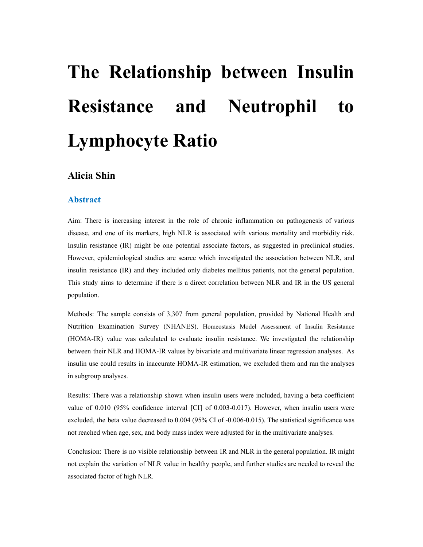# **The Relationship between Insulin Resistance and Neutrophil to Lymphocyte Ratio**

# **Alicia Shin**

# **Abstract**

Aim: There is increasing interest in the role of chronic inflammation on pathogenesis of various disease, and one of its markers, high NLR is associated with various mortality and morbidity risk. Insulin resistance (IR) might be one potential associate factors, as suggested in preclinical studies. However, epidemiological studies are scarce which investigated the association between NLR, and insulin resistance (IR) and they included only diabetes mellitus patients, not the general population. This study aims to determine if there is a direct correlation between NLR and IR in the US general population.

Methods: The sample consists of 3,307 from general population, provided by National Health and Nutrition Examination Survey (NHANES). Homeostasis Model Assessment of Insulin Resistance (HOMA-IR) value was calculated to evaluate insulin resistance. We investigated the relationship between their NLR and HOMA-IR values by bivariate and multivariate linear regression analyses. As insulin use could results in inaccurate HOMA-IR estimation, we excluded them and ran the analyses in subgroup analyses.

Results: There was a relationship shown when insulin users were included, having a beta coefficient value of 0.010 (95% confidence interval [CI] of 0.003-0.017). However, when insulin users were excluded, the beta value decreased to 0.004 (95% CI of -0.006-0.015). The statistical significance was not reached when age, sex, and body mass index were adjusted for in the multivariate analyses.

Conclusion: There is no visible relationship between IR and NLR in the general population. IR might not explain the variation of NLR value in healthy people, and further studies are needed to reveal the associated factor of high NLR.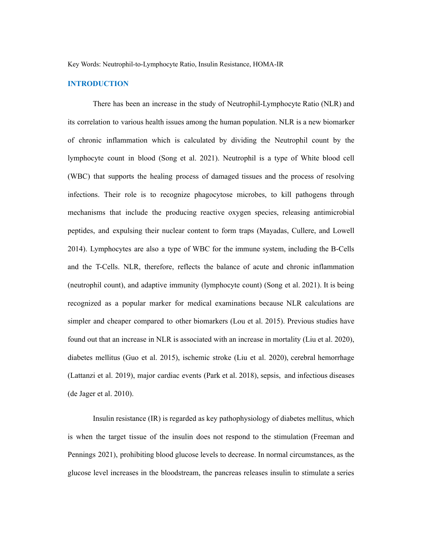Key Words: Neutrophil-to-Lymphocyte Ratio, Insulin Resistance, HOMA-IR

# **INTRODUCTION**

There has been an increase in the study of Neutrophil-Lymphocyte Ratio (NLR) and its correlation to various health issues among the human population. NLR is a new biomarker of chronic inflammation which is calculated by dividing the Neutrophil count by the lymphocyte count in blood (Song et al. 2021). Neutrophil is a type of White blood cell (WBC) that supports the healing process of damaged tissues and the process of resolving infections. Their role is to recognize phagocytose microbes, to kill pathogens through mechanisms that include the producing reactive oxygen species, releasing antimicrobial peptides, and expulsing their nuclear content to form traps (Mayadas, Cullere, and Lowell 2014). Lymphocytes are also a type of WBC for the immune system, including the B-Cells and the T-Cells. NLR, therefore, reflects the balance of acute and chronic inflammation (neutrophil count), and adaptive immunity (lymphocyte count) (Song et al. 2021). It is being recognized as a popular marker for medical examinations because NLR calculations are simpler and cheaper compared to other biomarkers (Lou et al. 2015). Previous studies have found out that an increase in NLR is associated with an increase in mortality (Liu et al. 2020), diabetes mellitus (Guo et al. 2015), ischemic stroke (Liu et al. 2020), cerebral hemorrhage (Lattanzi et al. 2019), major cardiac events (Park et al. 2018), sepsis, and infectious diseases (de Jager et al. 2010).

Insulin resistance (IR) is regarded as key pathophysiology of diabetes mellitus, which is when the target tissue of the insulin does not respond to the stimulation (Freeman and Pennings 2021), prohibiting blood glucose levels to decrease. In normal circumstances, as the glucose level increases in the bloodstream, the pancreas releases insulin to stimulate a series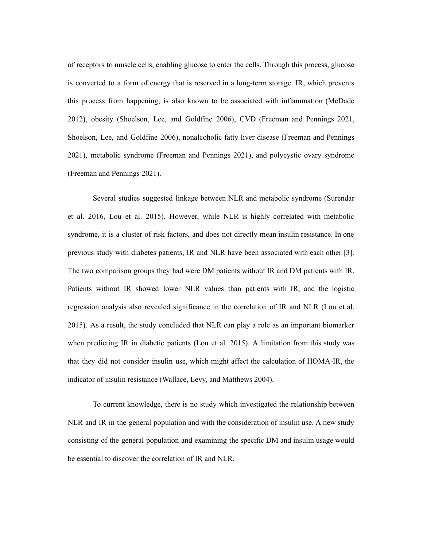of receptors to muscle cells, enabling glucose to enter the cells. Through this process, glucose is converted to a form of energy that is reserved in a long-term storage. IR, which prevents this process from happening, is also known to be associated with inflammation (McDade 2012), obesity (Shoelson, Lee, and Goldfine 2006), CVD (Freeman and Pennings 2021, Shoelson, Lee, and Goldfine 2006), nonalcoholic fatty liver disease (Freeman and Pennings 2021), metabolic syndrome (Freeman and Pennings 2021), and polycystic ovary syndrome (Freeman and Pennings 2021).

Several studies suggested linkage between NLR and metabolic syndrome (Surendar et al. 2016, Lou et al. 2015). However, while NLR is highly correlated with metabolic syndrome, it is a cluster of risk factors, and does not directly mean insulin resistance. In one previous study with diabetes patients, IR and NLR have been associated with each other [3]. The two comparison groups they had were DM patients without IR and DM patients with IR. Patients without IR showed lower NLR values than patients with IR, and the logistic regression analysis also revealed significance in the correlation of IR and NLR (Lou et al. 2015). As a result, the study concluded that NLR can play a role as an important biomarker when predicting IR in diabetic patients (Lou et al. 2015). A limitation from this study was that they did not consider insulin use, which might affect the calculation of HOMA-IR, the indicator of insulin resistance (Wallace, Levy, and Matthews 2004).

To current knowledge, there is no study which investigated the relationship between NLR and IR in the general population and with the consideration of insulin use. A new study consisting of the general population and examining the specific DM and insulin usage would be essential to discover the correlation of IR and NLR.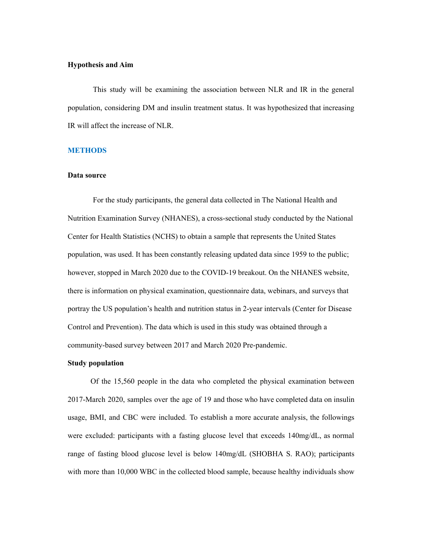# **Hypothesis and Aim**

This study will be examining the association between NLR and IR in the general population, considering DM and insulin treatment status. It was hypothesized that increasing IR will affect the increase of NLR.

# **METHODS**

# **Data source**

For the study participants, the general data collected in The National Health and Nutrition Examination Survey (NHANES), a cross-sectional study conducted by the National Center for Health Statistics (NCHS) to obtain a sample that represents the United States population, was used. It has been constantly releasing updated data since 1959 to the public; however, stopped in March 2020 due to the COVID-19 breakout. On the NHANES website, there is information on physical examination, questionnaire data, webinars, and surveys that portray the US population's health and nutrition status in 2-year intervals (Center for Disease Control and Prevention). The data which is used in this study was obtained through a community-based survey between 2017 and March 2020 Pre-pandemic.

# **Study population**

Of the 15,560 people in the data who completed the physical examination between 2017-March 2020, samples over the age of 19 and those who have completed data on insulin usage, BMI, and CBC were included. To establish a more accurate analysis, the followings were excluded: participants with a fasting glucose level that exceeds 140mg/dL, as normal range of fasting blood glucose level is below 140mg/dL (SHOBHA S. RAO); participants with more than 10,000 WBC in the collected blood sample, because healthy individuals show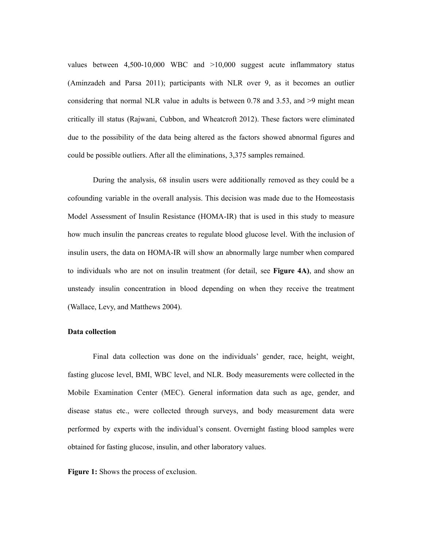values between 4,500-10,000 WBC and >10,000 suggest acute inflammatory status (Aminzadeh and Parsa 2011); participants with NLR over 9, as it becomes an outlier considering that normal NLR value in adults is between 0.78 and 3.53, and >9 might mean critically ill status (Rajwani, Cubbon, and Wheatcroft 2012). These factors were eliminated due to the possibility of the data being altered as the factors showed abnormal figures and could be possible outliers. After all the eliminations, 3,375 samples remained.

During the analysis, 68 insulin users were additionally removed as they could be a cofounding variable in the overall analysis. This decision was made due to the Homeostasis Model Assessment of Insulin Resistance (HOMA-IR) that is used in this study to measure how much insulin the pancreas creates to regulate blood glucose level. With the inclusion of insulin users, the data on HOMA-IR will show an abnormally large number when compared to individuals who are not on insulin treatment (for detail, see **Figure 4A)**, and show an unsteady insulin concentration in blood depending on when they receive the treatment (Wallace, Levy, and Matthews 2004).

# **Data collection**

Final data collection was done on the individuals' gender, race, height, weight, fasting glucose level, BMI, WBC level, and NLR. Body measurements were collected in the Mobile Examination Center (MEC). General information data such as age, gender, and disease status etc., were collected through surveys, and body measurement data were performed by experts with the individual's consent. Overnight fasting blood samples were obtained for fasting glucose, insulin, and other laboratory values.

**Figure 1:** Shows the process of exclusion.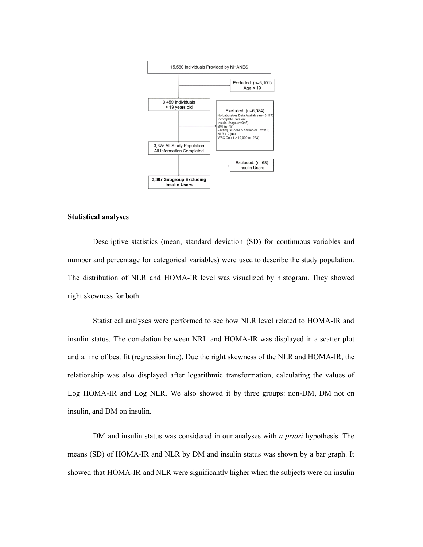

# **Statistical analyses**

Descriptive statistics (mean, standard deviation (SD) for continuous variables and number and percentage for categorical variables) were used to describe the study population. The distribution of NLR and HOMA-IR level was visualized by histogram. They showed right skewness for both.

Statistical analyses were performed to see how NLR level related to HOMA-IR and insulin status. The correlation between NRL and HOMA-IR was displayed in a scatter plot and a line of best fit (regression line). Due the right skewness of the NLR and HOMA-IR, the relationship was also displayed after logarithmic transformation, calculating the values of Log HOMA-IR and Log NLR. We also showed it by three groups: non-DM, DM not on insulin, and DM on insulin.

DM and insulin status was considered in our analyses with *a priori* hypothesis. The means (SD) of HOMA-IR and NLR by DM and insulin status was shown by a bar graph. It showed that HOMA-IR and NLR were significantly higher when the subjects were on insulin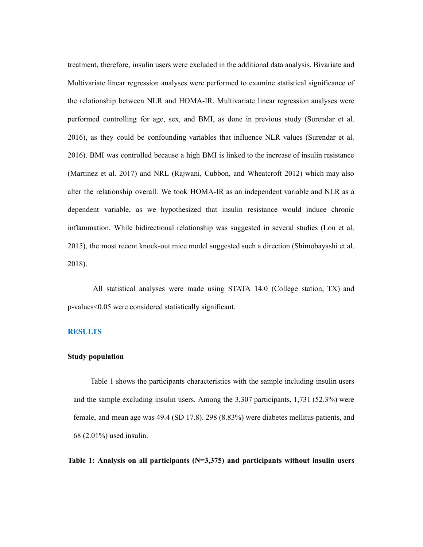treatment, therefore, insulin users were excluded in the additional data analysis. Bivariate and Multivariate linear regression analyses were performed to examine statistical significance of the relationship between NLR and HOMA-IR. Multivariate linear regression analyses were performed controlling for age, sex, and BMI, as done in previous study (Surendar et al. 2016), as they could be confounding variables that influence NLR values (Surendar et al. 2016). BMI was controlled because a high BMI is linked to the increase of insulin resistance (Martinez et al. 2017) and NRL (Rajwani, Cubbon, and Wheatcroft 2012) which may also alter the relationship overall. We took HOMA-IR as an independent variable and NLR as a dependent variable, as we hypothesized that insulin resistance would induce chronic inflammation. While bidirectional relationship was suggested in several studies (Lou et al. 2015), the most recent knock-out mice model suggested such a direction (Shimobayashi et al. 2018).

All statistical analyses were made using STATA 14.0 (College station, TX) and p-values<0.05 were considered statistically significant.

# **RESULTS**

## **Study population**

Table 1 shows the participants characteristics with the sample including insulin users and the sample excluding insulin users. Among the 3,307 participants, 1,731 (52.3%) were female, and mean age was 49.4 (SD 17.8). 298 (8.83%) were diabetes mellitus patients, and 68 (2.01%) used insulin.

**Table 1: Analysis on all participants (N=3,375) and participants without insulin users**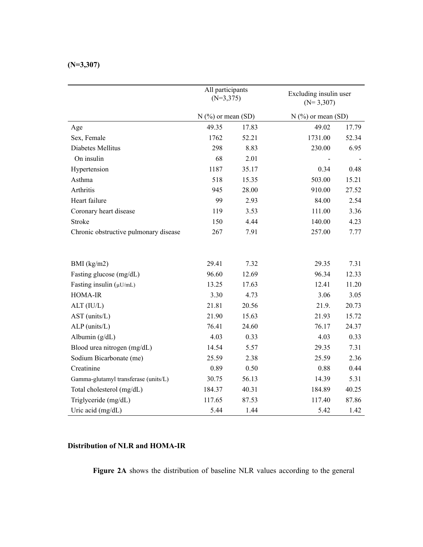|                                       | All participants<br>$(N=3,375)$ |       | Excluding insulin user<br>$(N=3,307)$ |       |
|---------------------------------------|---------------------------------|-------|---------------------------------------|-------|
|                                       | $N$ (%) or mean (SD)            |       | $N$ (%) or mean (SD)                  |       |
| Age                                   | 49.35                           | 17.83 | 49.02                                 | 17.79 |
| Sex, Female                           | 1762                            | 52.21 | 1731.00                               | 52.34 |
| Diabetes Mellitus                     | 298                             | 8.83  | 230.00                                | 6.95  |
| On insulin                            | 68                              | 2.01  |                                       |       |
| Hypertension                          | 1187                            | 35.17 | 0.34                                  | 0.48  |
| Asthma                                | 518                             | 15.35 | 503.00                                | 15.21 |
| Arthritis                             | 945                             | 28.00 | 910.00                                | 27.52 |
| Heart failure                         | 99                              | 2.93  | 84.00                                 | 2.54  |
| Coronary heart disease                | 119                             | 3.53  | 111.00                                | 3.36  |
| <b>Stroke</b>                         | 150                             | 4.44  | 140.00                                | 4.23  |
| Chronic obstructive pulmonary disease | 267                             | 7.91  | 257.00                                | 7.77  |
| BMI $(kg/m2)$                         | 29.41                           | 7.32  | 29.35                                 | 7.31  |
| Fasting glucose (mg/dL)               | 96.60                           | 12.69 | 96.34                                 | 12.33 |
| Fasting insulin $(\mu U/mL)$          | 13.25                           | 17.63 | 12.41                                 | 11.20 |
| HOMA-IR                               | 3.30                            | 4.73  | 3.06                                  | 3.05  |
| ALT (IU/L)                            | 21.81                           | 20.56 | 21.9.                                 | 20.73 |
| AST (units/L)                         | 21.90                           | 15.63 | 21.93                                 | 15.72 |
| ALP (units/L)                         | 76.41                           | 24.60 | 76.17                                 | 24.37 |
| Albumin $(g/dL)$                      | 4.03                            | 0.33  | 4.03                                  | 0.33  |
| Blood urea nitrogen (mg/dL)           | 14.54                           | 5.57  | 29.35                                 | 7.31  |
| Sodium Bicarbonate (me)               | 25.59                           | 2.38  | 25.59                                 | 2.36  |
| Creatinine                            | 0.89                            | 0.50  | 0.88                                  | 0.44  |
| Gamma-glutamyl transferase (units/L)  | 30.75                           | 56.13 | 14.39                                 | 5.31  |
| Total cholesterol (mg/dL)             | 184.37                          | 40.31 | 184.89                                | 40.25 |
| Triglyceride (mg/dL)                  | 117.65                          | 87.53 | 117.40                                | 87.86 |
| Uric acid (mg/dL)                     | 5.44                            | 1.44  | 5.42                                  | 1.42  |

# **Distribution of NLR and HOMA-IR**

**Figure 2A** shows the distribution of baseline NLR values according to the general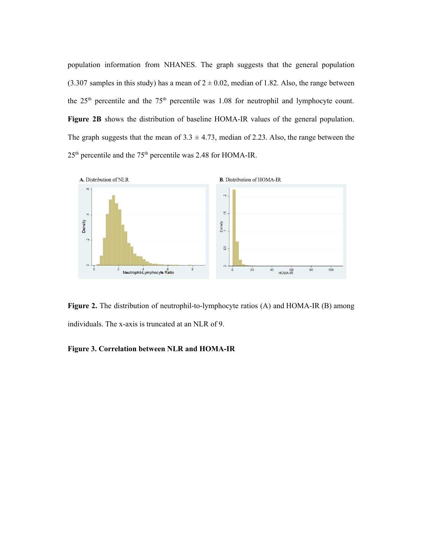population information from NHANES. The graph suggests that the general population (3.307 samples in this study) has a mean of  $2 \pm 0.02$ , median of 1.82. Also, the range between the  $25<sup>th</sup>$  percentile and the  $75<sup>th</sup>$  percentile was 1.08 for neutrophil and lymphocyte count. **Figure 2B** shows the distribution of baseline HOMA-IR values of the general population. The graph suggests that the mean of  $3.3 \pm 4.73$ , median of 2.23. Also, the range between the  $25<sup>th</sup>$  percentile and the 75<sup>th</sup> percentile was 2.48 for HOMA-IR.



**Figure 2.** The distribution of neutrophil-to-lymphocyte ratios (A) and HOMA-IR (B) among individuals. The x-axis is truncated at an NLR of 9.

# **Figure 3. Correlation between NLR and HOMA-IR**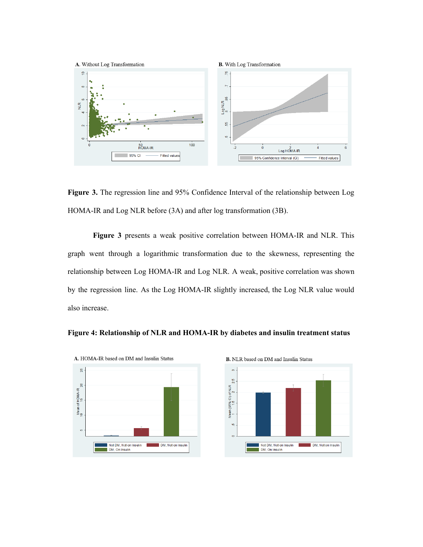

**Figure 3.** The regression line and 95% Confidence Interval of the relationship between Log HOMA-IR and Log NLR before (3A) and after log transformation (3B).

**Figure 3** presents a weak positive correlation between HOMA-IR and NLR. This graph went through a logarithmic transformation due to the skewness, representing the relationship between Log HOMA-IR and Log NLR. A weak, positive correlation was shown by the regression line. As the Log HOMA-IR slightly increased, the Log NLR value would also increase.





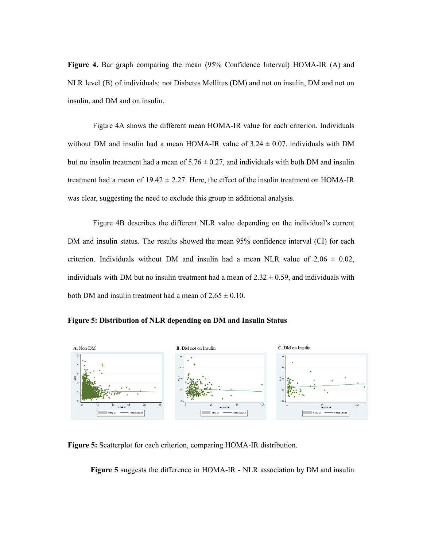**Figure 4.** Bar graph comparing the mean (95% Confidence Interval) HOMA-IR (A) and NLR level (B) of individuals: not Diabetes Mellitus (DM) and not on insulin, DM and not on insulin, and DM and on insulin.

Figure 4A shows the different mean HOMA-IR value for each criterion. Individuals without DM and insulin had a mean HOMA-IR value of  $3.24 \pm 0.07$ , individuals with DM but no insulin treatment had a mean of  $5.76 \pm 0.27$ , and individuals with both DM and insulin treatment had a mean of  $19.42 \pm 2.27$ . Here, the effect of the insulin treatment on HOMA-IR was clear, suggesting the need to exclude this group in additional analysis.

Figure 4B describes the different NLR value depending on the individual's current DM and insulin status. The results showed the mean 95% confidence interval (CI) for each criterion. Individuals without DM and insulin had a mean NLR value of  $2.06 \pm 0.02$ , individuals with DM but no insulin treatment had a mean of  $2.32 \pm 0.59$ , and individuals with both DM and insulin treatment had a mean of  $2.65 \pm 0.10$ .





**Figure 5:** Scatterplot for each criterion, comparing HOMA-IR distribution.

**Figure 5** suggests the difference in HOMA-IR - NLR association by DM and insulin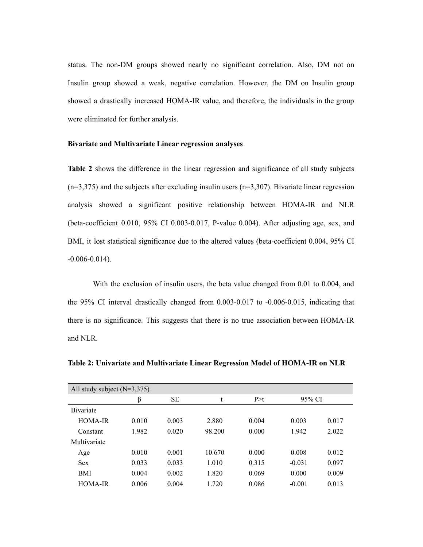status. The non-DM groups showed nearly no significant correlation. Also, DM not on Insulin group showed a weak, negative correlation. However, the DM on Insulin group showed a drastically increased HOMA-IR value, and therefore, the individuals in the group were eliminated for further analysis.

# **Bivariate and Multivariate Linear regression analyses**

**Table 2** shows the difference in the linear regression and significance of all study subjects  $(n=3,375)$  and the subjects after excluding insulin users  $(n=3,307)$ . Bivariate linear regression analysis showed a significant positive relationship between HOMA-IR and NLR (beta-coefficient 0.010, 95% CI 0.003-0.017, P-value 0.004). After adjusting age, sex, and BMI, it lost statistical significance due to the altered values (beta-coefficient 0.004, 95% CI -0.006-0.014).

With the exclusion of insulin users, the beta value changed from 0.01 to 0.004, and the 95% CI interval drastically changed from 0.003-0.017 to -0.006-0.015, indicating that there is no significance. This suggests that there is no true association between HOMA-IR and NLR.

**Table 2: Univariate and Multivariate Linear Regression Model of HOMA-IR on NLR**

| All study subject $(N=3,375)$ |       |           |        |       |          |       |  |
|-------------------------------|-------|-----------|--------|-------|----------|-------|--|
|                               | β     | <b>SE</b> | t      | P > t | 95% CI   |       |  |
| <b>B</b> ivariate             |       |           |        |       |          |       |  |
| <b>HOMA-IR</b>                | 0.010 | 0.003     | 2.880  | 0.004 | 0.003    | 0.017 |  |
| Constant                      | 1.982 | 0.020     | 98.200 | 0.000 | 1.942    | 2.022 |  |
| Multivariate                  |       |           |        |       |          |       |  |
| Age                           | 0.010 | 0.001     | 10.670 | 0.000 | 0.008    | 0.012 |  |
| <b>Sex</b>                    | 0.033 | 0.033     | 1.010  | 0.315 | $-0.031$ | 0.097 |  |
| <b>BMI</b>                    | 0.004 | 0.002     | 1.820  | 0.069 | 0.000    | 0.009 |  |
| HOMA-IR                       | 0.006 | 0.004     | 1 720  | 0.086 | $-0.001$ | 0.013 |  |
|                               |       |           |        |       |          |       |  |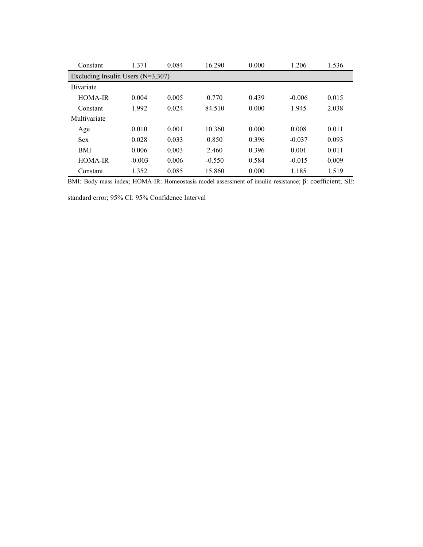| Constant                            | 1.371    | 0.084 | 16.290   | 0.000 | 1.206    | 1.536 |  |  |
|-------------------------------------|----------|-------|----------|-------|----------|-------|--|--|
| Excluding Insulin Users $(N=3,307)$ |          |       |          |       |          |       |  |  |
| <b>B</b> ivariate                   |          |       |          |       |          |       |  |  |
| HOMA-IR                             | 0.004    | 0.005 | 0.770    | 0.439 | $-0.006$ | 0.015 |  |  |
| Constant                            | 1.992    | 0.024 | 84.510   | 0.000 | 1.945    | 2.038 |  |  |
| Multivariate                        |          |       |          |       |          |       |  |  |
| Age                                 | 0.010    | 0.001 | 10.360   | 0.000 | 0.008    | 0.011 |  |  |
| <b>Sex</b>                          | 0.028    | 0.033 | 0.850    | 0.396 | $-0.037$ | 0.093 |  |  |
| <b>BMI</b>                          | 0.006    | 0.003 | 2.460    | 0.396 | 0.001    | 0.011 |  |  |
| HOMA-IR                             | $-0.003$ | 0.006 | $-0.550$ | 0.584 | $-0.015$ | 0.009 |  |  |
| Constant                            | 1.352    | 0.085 | 15.860   | 0.000 | 1.185    | 1.519 |  |  |

BMI: Body mass index; HOMA-IR: Homeostasis model assessment of insulin resistance; β: coefficient; SE:

standard error; 95% CI: 95% Confidence Interval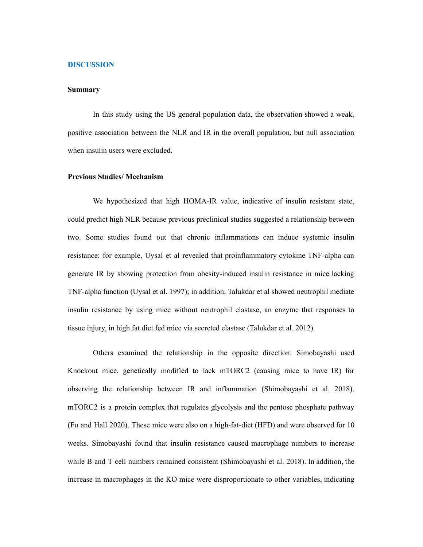## **DISCUSSION**

## **Summary**

In this study using the US general population data, the observation showed a weak, positive association between the NLR and IR in the overall population, but null association when insulin users were excluded.

# **Previous Studies/ Mechanism**

We hypothesized that high HOMA-IR value, indicative of insulin resistant state, could predict high NLR because previous preclinical studies suggested a relationship between two. Some studies found out that chronic inflammations can induce systemic insulin resistance: for example, Uysal et al revealed that proinflammatory cytokine TNF-alpha can generate IR by showing protection from obesity-induced insulin resistance in mice lacking TNF-alpha function (Uysal et al. 1997); in addition, Talukdar et al showed neutrophil mediate insulin resistance by using mice without neutrophil elastase, an enzyme that responses to tissue injury, in high fat diet fed mice via secreted elastase (Talukdar et al. 2012).

Others examined the relationship in the opposite direction: Simobayashi used Knockout mice, genetically modified to lack mTORC2 (causing mice to have IR) for observing the relationship between IR and inflammation (Shimobayashi et al. 2018). mTORC2 is a protein complex that regulates glycolysis and the pentose phosphate pathway (Fu and Hall 2020). These mice were also on a high-fat-diet (HFD) and were observed for 10 weeks. Simobayashi found that insulin resistance caused macrophage numbers to increase while B and T cell numbers remained consistent (Shimobayashi et al. 2018). In addition, the increase in macrophages in the KO mice were disproportionate to other variables, indicating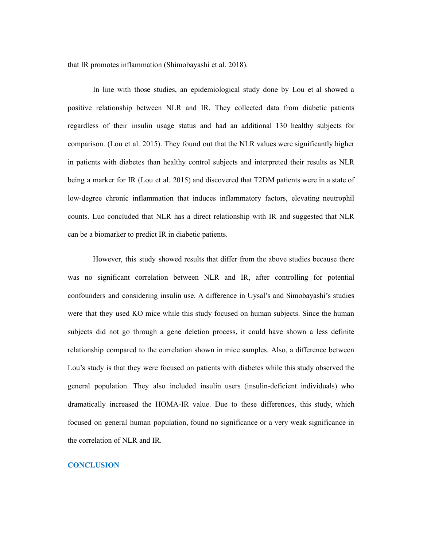that IR promotes inflammation (Shimobayashi et al. 2018).

In line with those studies, an epidemiological study done by Lou et al showed a positive relationship between NLR and IR. They collected data from diabetic patients regardless of their insulin usage status and had an additional 130 healthy subjects for comparison. (Lou et al. 2015). They found out that the NLR values were significantly higher in patients with diabetes than healthy control subjects and interpreted their results as NLR being a marker for IR (Lou et al. 2015) and discovered that T2DM patients were in a state of low-degree chronic inflammation that induces inflammatory factors, elevating neutrophil counts. Luo concluded that NLR has a direct relationship with IR and suggested that NLR can be a biomarker to predict IR in diabetic patients.

However, this study showed results that differ from the above studies because there was no significant correlation between NLR and IR, after controlling for potential confounders and considering insulin use. A difference in Uysal's and Simobayashi's studies were that they used KO mice while this study focused on human subjects. Since the human subjects did not go through a gene deletion process, it could have shown a less definite relationship compared to the correlation shown in mice samples. Also, a difference between Lou's study is that they were focused on patients with diabetes while this study observed the general population. They also included insulin users (insulin-deficient individuals) who dramatically increased the HOMA-IR value. Due to these differences, this study, which focused on general human population, found no significance or a very weak significance in the correlation of NLR and IR.

# **CONCLUSION**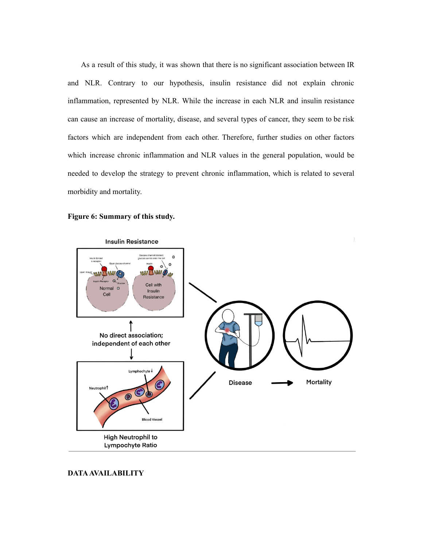As a result of this study, it was shown that there is no significant association between IR and NLR. Contrary to our hypothesis, insulin resistance did not explain chronic inflammation, represented by NLR. While the increase in each NLR and insulin resistance can cause an increase of mortality, disease, and several types of cancer, they seem to be risk factors which are independent from each other. Therefore, further studies on other factors which increase chronic inflammation and NLR values in the general population, would be needed to develop the strategy to prevent chronic inflammation, which is related to several morbidity and mortality.





**DATAAVAILABILITY**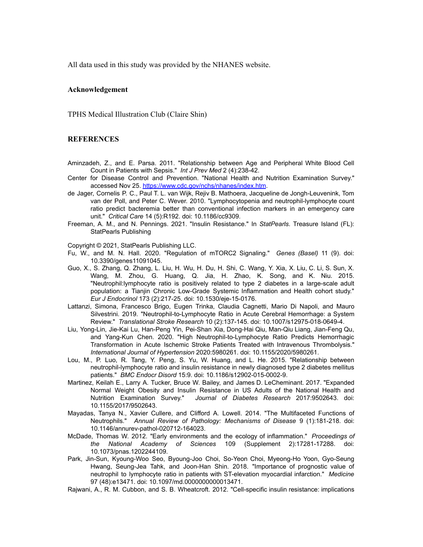All data used in this study was provided by the NHANES website.

### **Acknowledgement**

TPHS Medical Illustration Club (Claire Shin)

# **REFERENCES**

- Aminzadeh, Z., and E. Parsa. 2011. "Relationship between Age and Peripheral White Blood Cell Count in Patients with Sepsis." *Int J Prev Med* 2 (4):238-42.
- Center for Disease Control and Prevention. "National Health and Nutrition Examination Survey." accessed Nov 25. https://www.cdc.gov/nchs/nhanes/index.htm.
- de Jager, Cornelis P. C., Paul T. L. van Wijk, Rejiv B. Mathoera, Jacqueline de Jongh-Leuvenink, Tom van der Poll, and Peter C. Wever. 2010. "Lymphocytopenia and neutrophil-lymphocyte count ratio predict bacteremia better than conventional infection markers in an emergency care unit." *Critical Care* 14 (5):R192. doi: 10.1186/cc9309.
- Freeman, A. M., and N. Pennings. 2021. "Insulin Resistance." In *StatPearls*. Treasure Island (FL): StatPearls Publishing

#### Copyright © 2021, StatPearls Publishing LLC.

- Fu, W., and M. N. Hall. 2020. "Regulation of mTORC2 Signaling." *Genes (Basel)* 11 (9). doi: 10.3390/genes11091045.
- Guo, X., S. Zhang, Q. Zhang, L. Liu, H. Wu, H. Du, H. Shi, C. Wang, Y. Xia, X. Liu, C. Li, S. Sun, X. Wang, M. Zhou, G. Huang, Q. Jia, H. Zhao, K. Song, and K. Niu. 2015. "Neutrophil:lymphocyte ratio is positively related to type 2 diabetes in a large-scale adult population: a Tianjin Chronic Low-Grade Systemic Inflammation and Health cohort study." *Eur J Endocrinol* 173 (2):217-25. doi: 10.1530/eje-15-0176.
- Lattanzi, Simona, Francesco Brigo, Eugen Trinka, Claudia Cagnetti, Mario Di Napoli, and Mauro Silvestrini. 2019. "Neutrophil-to-Lymphocyte Ratio in Acute Cerebral Hemorrhage: a System Review." *Translational Stroke Research* 10 (2):137-145. doi: 10.1007/s12975-018-0649-4.
- Liu, Yong-Lin, Jie-Kai Lu, Han-Peng Yin, Pei-Shan Xia, Dong-Hai Qiu, Man-Qiu Liang, Jian-Feng Qu, and Yang-Kun Chen. 2020. "High Neutrophil-to-Lymphocyte Ratio Predicts Hemorrhagic Transformation in Acute Ischemic Stroke Patients Treated with Intravenous Thrombolysis." *International Journal of Hypertension* 2020:5980261. doi: 10.1155/2020/5980261.
- Lou, M., P. Luo, R. Tang, Y. Peng, S. Yu, W. Huang, and L. He. 2015. "Relationship between neutrophil-lymphocyte ratio and insulin resistance in newly diagnosed type 2 diabetes mellitus patients." *BMC Endocr Disord* 15:9. doi: 10.1186/s12902-015-0002-9.
- Martinez, Keilah E., Larry A. Tucker, Bruce W. Bailey, and James D. LeCheminant. 2017. "Expanded Normal Weight Obesity and Insulin Resistance in US Adults of the National Health and Nutrition Examination Survey." *Journal of Diabetes Research* 2017:9502643. doi: 10.1155/2017/9502643.
- Mayadas, Tanya N., Xavier Cullere, and Clifford A. Lowell. 2014. "The Multifaceted Functions of Neutrophils." *Annual Review of Pathology: Mechanisms of Disease* 9 (1):181-218. doi: 10.1146/annurev-pathol-020712-164023.
- McDade, Thomas W. 2012. "Early environments and the ecology of inflammation." *Proceedings of the National Academy of Sciences* 109 (Supplement 2):17281-17288. doi: 10.1073/pnas.1202244109.
- Park, Jin-Sun, Kyoung-Woo Seo, Byoung-Joo Choi, So-Yeon Choi, Myeong-Ho Yoon, Gyo-Seung Hwang, Seung-Jea Tahk, and Joon-Han Shin. 2018. "Importance of prognostic value of neutrophil to lymphocyte ratio in patients with ST-elevation myocardial infarction." *Medicine* 97 (48):e13471. doi: 10.1097/md.0000000000013471.
- Rajwani, A., R. M. Cubbon, and S. B. Wheatcroft. 2012. "Cell-specific insulin resistance: implications